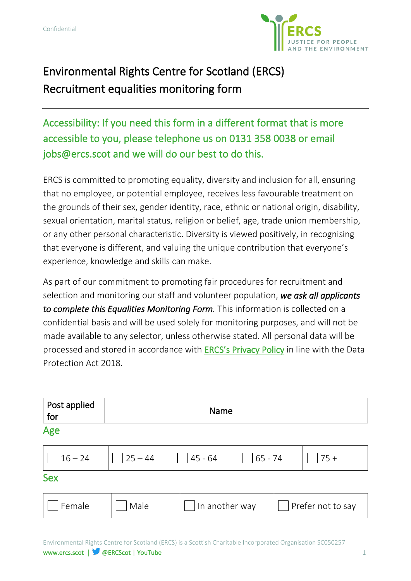

# Environmental Rights Centre for Scotland (ERCS) Recruitment equalities monitoring form

Accessibility: If you need this form in a different format that is more accessible to you, please telephone us on 0131 358 0038 or email [jobs@ercs.scot](mailto:jobs@ercs.scot) and we will do our best to do this.

ERCS is committed to promoting equality, diversity and inclusion for all, ensuring that no employee, or potential employee, receives less favourable treatment on the grounds of their sex, gender identity, race, ethnic or national origin, disability, sexual orientation, marital status, religion or belief, age, trade union membership, or any other personal characteristic. Diversity is viewed positively, in recognising that everyone is different, and valuing the unique contribution that everyone's experience, knowledge and skills can make.

As part of our commitment to promoting fair procedures for recruitment and selection and monitoring our staff and volunteer population, *we ask all applicants to complete this Equalities Monitoring Form.* This information is collected on a confidential basis and will be used solely for monitoring purposes, and will not be made available to any selector, unless otherwise stated. All personal data will be processed and stored in accordance with [ERCS's Privacy Policy](https://www.ercs.scot/privacy-policy/) in line with the Data Protection Act 2018.

| Post applied<br>for |            | <b>Name</b>    |            |                   |
|---------------------|------------|----------------|------------|-------------------|
| Age                 |            |                |            |                   |
| $16 - 24$           | $ 25 - 44$ | $ 45 - 64$     | $ 65 - 74$ | $75 +$            |
| <b>Sex</b>          |            |                |            |                   |
| Female              | Male       | In another way |            | Prefer not to say |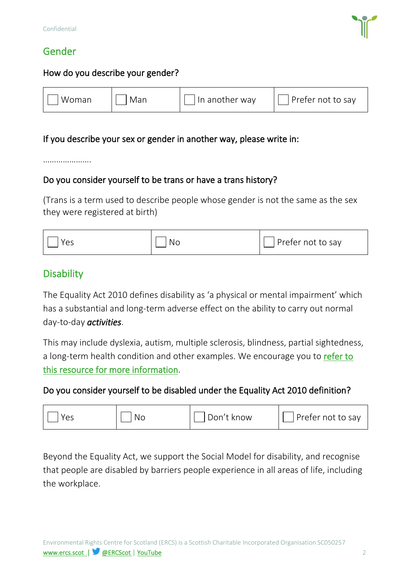### Gender



#### How do you describe your gender?

#### If you describe your sex or gender in another way, please write in:

…………………

#### Do you consider yourself to be trans or have a trans history?

(Trans is a term used to describe people whose gender is not the same as the sex they were registered at birth)

### **Disability**

The Equality Act 2010 defines disability as 'a physical or mental impairment' which has a substantial and long-term adverse effect on the ability to carry out normal day-to-day *activities*.

This may include dyslexia, autism, multiple sclerosis, blindness, partial sightedness, a long-term health condition and other examples. We encourage you to refer to [this resource for more information.](https://www.citizensadvice.org.uk/law-and-courts/discrimination/protected-characteristics/what-counts-as-disability/)

#### Do you consider yourself to be disabled under the Equality Act 2010 definition?



Beyond the Equality Act, we support the Social Model for disability, and recognise that people are disabled by barriers people experience in all areas of life, including the workplace.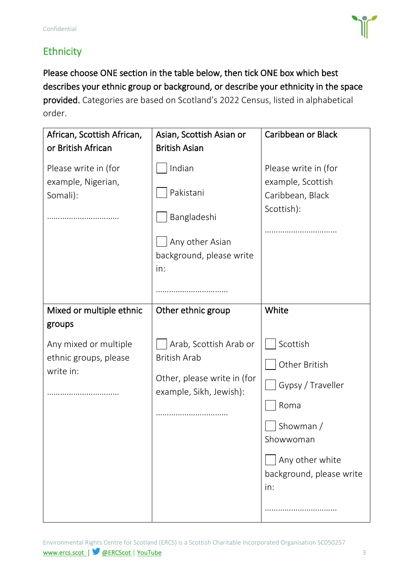

# **Ethnicity**

Please choose ONE section in the table below, then tick ONE box which best describes your ethnic group or background, or describe your ethnicity in the space provided. Categories are based on Scotland's 2022 Census, listed in alphabetical order.

| African, Scottish African,                                  | Asian, Scottish Asian or                                                                 | <b>Caribbean or Black</b>                                                                                                  |  |
|-------------------------------------------------------------|------------------------------------------------------------------------------------------|----------------------------------------------------------------------------------------------------------------------------|--|
| or British African                                          | <b>British Asian</b>                                                                     |                                                                                                                            |  |
| Please write in (for<br>example, Nigerian,<br>Somali):      | Indian<br>Pakistani<br>Bangladeshi<br>Any other Asian<br>background, please write<br>in: | Please write in (for<br>example, Scottish<br>Caribbean, Black<br>Scottish):                                                |  |
|                                                             |                                                                                          |                                                                                                                            |  |
| Mixed or multiple ethnic<br>groups<br>Any mixed or multiple | Other ethnic group<br>Arab, Scottish Arab or                                             | White<br>Scottish                                                                                                          |  |
| ethnic groups, please<br>write in:                          | <b>British Arab</b><br>Other, please write in (for<br>example, Sikh, Jewish):            | Other British<br>Gypsy / Traveller<br>Roma<br>Showman /<br>Showwoman<br>Any other white<br>background, please write<br>in: |  |